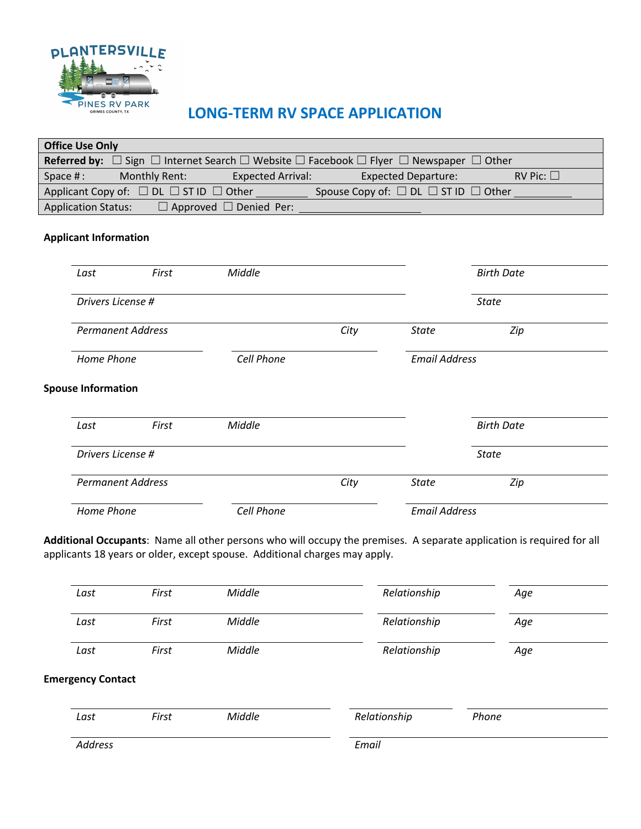

# **LONG-TERM RV SPACE APPLICATION**

|                                                                                                                                  | <b>Office Use Only</b> |                              |                                           |      |                            |                   |  |
|----------------------------------------------------------------------------------------------------------------------------------|------------------------|------------------------------|-------------------------------------------|------|----------------------------|-------------------|--|
| <b>Referred by:</b> $\Box$ Sign $\Box$ Internet Search $\Box$ Website $\Box$ Facebook $\Box$ Flyer $\Box$ Newspaper $\Box$ Other |                        |                              |                                           |      |                            |                   |  |
| Space #:                                                                                                                         |                        | Monthly Rent:                | <b>Expected Arrival:</b><br>a sa Tanzania |      | <b>Expected Departure:</b> | RV Pic: $\square$ |  |
|                                                                                                                                  |                        |                              |                                           |      |                            |                   |  |
|                                                                                                                                  |                        | <b>Application Status:</b>   |                                           |      |                            |                   |  |
|                                                                                                                                  |                        | <b>Applicant Information</b> |                                           |      |                            |                   |  |
|                                                                                                                                  | Last                   | First                        | Middle                                    |      |                            | <b>Birth Date</b> |  |
|                                                                                                                                  |                        | Drivers License #            |                                           |      |                            | <b>State</b>      |  |
|                                                                                                                                  |                        | <b>Permanent Address</b>     |                                           | City | <b>State</b>               | Zip               |  |
|                                                                                                                                  | Home Phone             |                              | Cell Phone                                |      | <b>Email Address</b>       |                   |  |
| <b>Spouse Information</b>                                                                                                        |                        |                              |                                           |      |                            |                   |  |
|                                                                                                                                  | Last                   | First                        | Middle                                    |      |                            | <b>Birth Date</b> |  |
|                                                                                                                                  | Drivers License #      |                              |                                           |      |                            | <b>State</b>      |  |
|                                                                                                                                  |                        | <b>Permanent Address</b>     |                                           | City | <b>State</b>               | Zip               |  |
|                                                                                                                                  |                        | <b>Home Phone</b>            | Cell Phone                                |      | <b>Email Address</b>       |                   |  |

**Additional Occupants**: Name all other persons who will occupy the premises. A separate application is required for all applicants 18 years or older, except spouse. Additional charges may apply.

| Last | First | Middle | Relationship | Age |  |
|------|-------|--------|--------------|-----|--|
| Last | First | Middle | Relationship | Age |  |
| Last | First | Middle | Relationship | Age |  |

### **Emergency Contact**

| Last    | First | Middle | Relationship | Phone |  |
|---------|-------|--------|--------------|-------|--|
| Address |       |        | Email        |       |  |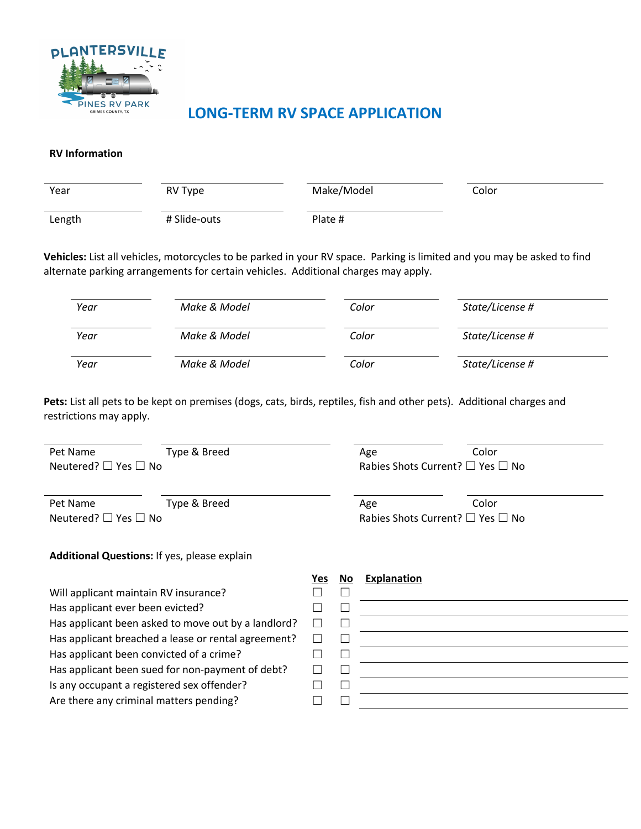

## **LONG-TERM RV SPACE APPLICATION**

#### **RV Information**

| Year   | RV Type      | Make/Model | Color |
|--------|--------------|------------|-------|
| Length | # Slide-outs | Plate #    |       |

**Vehicles:** List all vehicles, motorcycles to be parked in your RV space. Parking is limited and you may be asked to find alternate parking arrangements for certain vehicles. Additional charges may apply.

| Year | Make & Model | Color | State/License # |
|------|--------------|-------|-----------------|
| Year | Make & Model | Color | State/License # |
| Year | Make & Model | Color | State/License # |

Pets: List all pets to be kept on premises (dogs, cats, birds, reptiles, fish and other pets). Additional charges and restrictions may apply.

| Pet Name                       | Type & Breed                                 |     | Age                                              | Color |  |
|--------------------------------|----------------------------------------------|-----|--------------------------------------------------|-------|--|
| Neutered? $\Box$ Yes $\Box$ No |                                              |     | Rabies Shots Current? $\square$ Yes $\square$ No |       |  |
|                                |                                              |     |                                                  |       |  |
| Pet Name                       | Type & Breed                                 |     | Age                                              | Color |  |
| Neutered? □ Yes □ No           |                                              |     | Rabies Shots Current? $\square$ Yes $\square$ No |       |  |
|                                | Additional Questions: If yes, please explain |     |                                                  |       |  |
|                                |                                              | Yes | <b>Explanation</b><br>No                         |       |  |
|                                | Will applicant maintain RV insurance?        |     |                                                  |       |  |

Has applicant ever been evicted? Has applicant been asked to move out by a landlord<sup>®</sup> Has applicant breached a lease or rental agreement? Has applicant been convicted of a crime? Has applicant been sued for non-payment of debt? Is any occupant a registered sex offender?

Are there any criminal matters pending?

|   |  | $I \sim$ <u>NO</u> Explaination |
|---|--|---------------------------------|
|   |  |                                 |
|   |  |                                 |
| ŗ |  |                                 |
| ς |  |                                 |
|   |  |                                 |
|   |  |                                 |
|   |  |                                 |
|   |  |                                 |
|   |  |                                 |